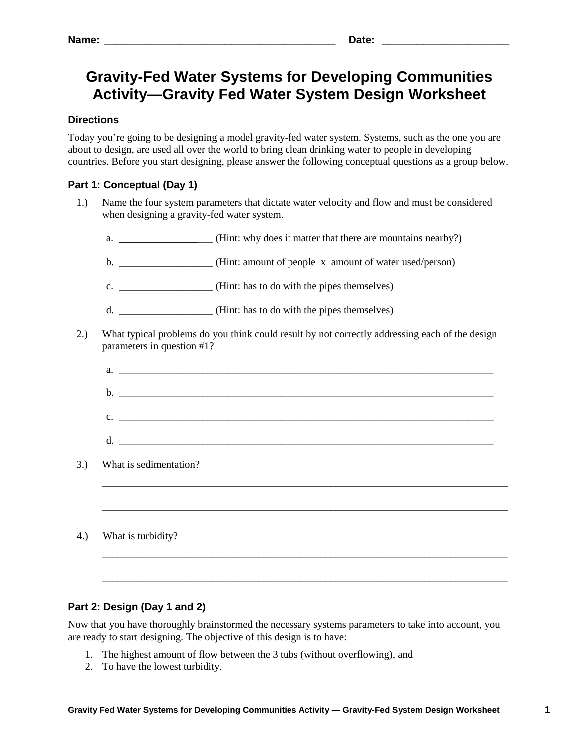# **Gravity-Fed Water Systems for Developing Communities Activity—Gravity Fed Water System Design Worksheet**

## **Directions**

Today you're going to be designing a model gravity-fed water system. Systems, such as the one you are about to design, are used all over the world to bring clean drinking water to people in developing countries. Before you start designing, please answer the following conceptual questions as a group below.

# **Part 1: Conceptual (Day 1)**

- 1.) Name the four system parameters that dictate water velocity and flow and must be considered when designing a gravity-fed water system.
	- a. **\_\_\_\_\_\_\_\_\_\_\_\_\_\_** (Hint: why does it matter that there are mountains nearby?)
	- b. \_\_\_\_\_\_\_\_\_\_\_\_\_\_\_\_\_\_ (Hint: amount of people x amount of water used/person)
	- c. \_\_\_\_\_\_\_\_\_\_\_\_\_\_\_\_\_\_ (Hint: has to do with the pipes themselves)
	- d. \_\_\_\_\_\_\_\_\_\_\_\_\_\_\_\_\_\_ (Hint: has to do with the pipes themselves)
- 2.) What typical problems do you think could result by not correctly addressing each of the design parameters in question #1?

 $a.$ 

- b. \_\_\_\_\_\_\_\_\_\_\_\_\_\_\_\_\_\_\_\_\_\_\_\_\_\_\_\_\_\_\_\_\_\_\_\_\_\_\_\_\_\_\_\_\_\_\_\_\_\_\_\_\_\_\_\_\_\_\_\_\_\_\_\_\_\_\_\_\_\_\_\_
- c.  $\Box$
- $d.$

\_\_\_\_\_\_\_\_\_\_\_\_\_\_\_\_\_\_\_\_\_\_\_\_\_\_\_\_\_\_\_\_\_\_\_\_\_\_\_\_\_\_\_\_\_\_\_\_\_\_\_\_\_\_\_\_\_\_\_\_\_\_\_\_\_\_\_\_\_\_\_\_\_\_\_\_\_\_

\_\_\_\_\_\_\_\_\_\_\_\_\_\_\_\_\_\_\_\_\_\_\_\_\_\_\_\_\_\_\_\_\_\_\_\_\_\_\_\_\_\_\_\_\_\_\_\_\_\_\_\_\_\_\_\_\_\_\_\_\_\_\_\_\_\_\_\_\_\_\_\_\_\_\_\_\_\_

\_\_\_\_\_\_\_\_\_\_\_\_\_\_\_\_\_\_\_\_\_\_\_\_\_\_\_\_\_\_\_\_\_\_\_\_\_\_\_\_\_\_\_\_\_\_\_\_\_\_\_\_\_\_\_\_\_\_\_\_\_\_\_\_\_\_\_\_\_\_\_\_\_\_\_\_\_\_

\_\_\_\_\_\_\_\_\_\_\_\_\_\_\_\_\_\_\_\_\_\_\_\_\_\_\_\_\_\_\_\_\_\_\_\_\_\_\_\_\_\_\_\_\_\_\_\_\_\_\_\_\_\_\_\_\_\_\_\_\_\_\_\_\_\_\_\_\_\_\_\_\_\_\_\_\_\_

- 3.) What is sedimentation?
- 4.) What is turbidity?

## **Part 2: Design (Day 1 and 2)**

Now that you have thoroughly brainstormed the necessary systems parameters to take into account, you are ready to start designing. The objective of this design is to have:

- 1. The highest amount of flow between the 3 tubs (without overflowing), and
- 2. To have the lowest turbidity.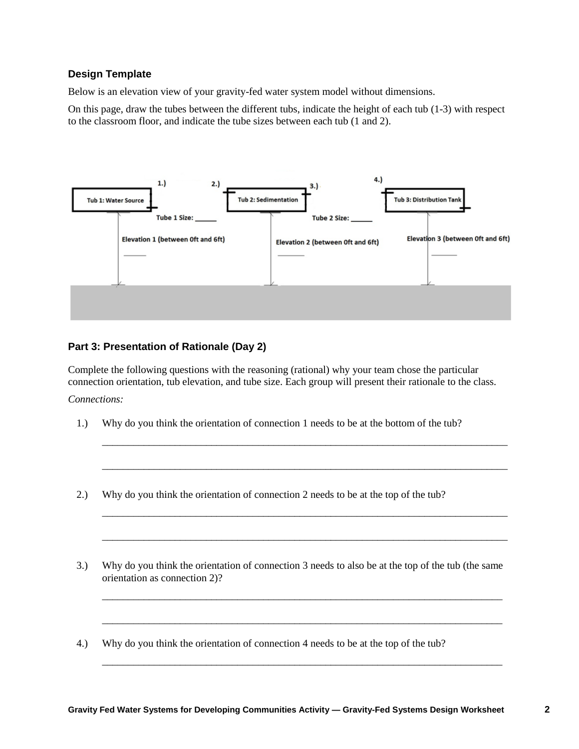#### **Design Template**

Below is an elevation view of your gravity-fed water system model without dimensions.

On this page, draw the tubes between the different tubs, indicate the height of each tub (1-3) with respect to the classroom floor, and indicate the tube sizes between each tub (1 and 2).



## **Part 3: Presentation of Rationale (Day 2)**

Complete the following questions with the reasoning (rational) why your team chose the particular connection orientation, tub elevation, and tube size. Each group will present their rationale to the class.

\_\_\_\_\_\_\_\_\_\_\_\_\_\_\_\_\_\_\_\_\_\_\_\_\_\_\_\_\_\_\_\_\_\_\_\_\_\_\_\_\_\_\_\_\_\_\_\_\_\_\_\_\_\_\_\_\_\_\_\_\_\_\_\_\_\_\_\_\_\_\_\_\_\_\_\_\_\_

\_\_\_\_\_\_\_\_\_\_\_\_\_\_\_\_\_\_\_\_\_\_\_\_\_\_\_\_\_\_\_\_\_\_\_\_\_\_\_\_\_\_\_\_\_\_\_\_\_\_\_\_\_\_\_\_\_\_\_\_\_\_\_\_\_\_\_\_\_\_\_\_\_\_\_\_\_\_

\_\_\_\_\_\_\_\_\_\_\_\_\_\_\_\_\_\_\_\_\_\_\_\_\_\_\_\_\_\_\_\_\_\_\_\_\_\_\_\_\_\_\_\_\_\_\_\_\_\_\_\_\_\_\_\_\_\_\_\_\_\_\_\_\_\_\_\_\_\_\_\_\_\_\_\_\_\_

\_\_\_\_\_\_\_\_\_\_\_\_\_\_\_\_\_\_\_\_\_\_\_\_\_\_\_\_\_\_\_\_\_\_\_\_\_\_\_\_\_\_\_\_\_\_\_\_\_\_\_\_\_\_\_\_\_\_\_\_\_\_\_\_\_\_\_\_\_\_\_\_\_\_\_\_\_\_

\_\_\_\_\_\_\_\_\_\_\_\_\_\_\_\_\_\_\_\_\_\_\_\_\_\_\_\_\_\_\_\_\_\_\_\_\_\_\_\_\_\_\_\_\_\_\_\_\_\_\_\_\_\_\_\_\_\_\_\_\_\_\_\_\_\_\_\_\_\_\_\_\_\_\_\_\_

\_\_\_\_\_\_\_\_\_\_\_\_\_\_\_\_\_\_\_\_\_\_\_\_\_\_\_\_\_\_\_\_\_\_\_\_\_\_\_\_\_\_\_\_\_\_\_\_\_\_\_\_\_\_\_\_\_\_\_\_\_\_\_\_\_\_\_\_\_\_\_\_\_\_\_\_\_

\_\_\_\_\_\_\_\_\_\_\_\_\_\_\_\_\_\_\_\_\_\_\_\_\_\_\_\_\_\_\_\_\_\_\_\_\_\_\_\_\_\_\_\_\_\_\_\_\_\_\_\_\_\_\_\_\_\_\_\_\_\_\_\_\_\_\_\_\_\_\_\_\_\_\_\_\_

*Connections:*

- 1.) Why do you think the orientation of connection 1 needs to be at the bottom of the tub?
- 2.) Why do you think the orientation of connection 2 needs to be at the top of the tub?
- 3.) Why do you think the orientation of connection 3 needs to also be at the top of the tub (the same orientation as connection 2)?
- 4.) Why do you think the orientation of connection 4 needs to be at the top of the tub?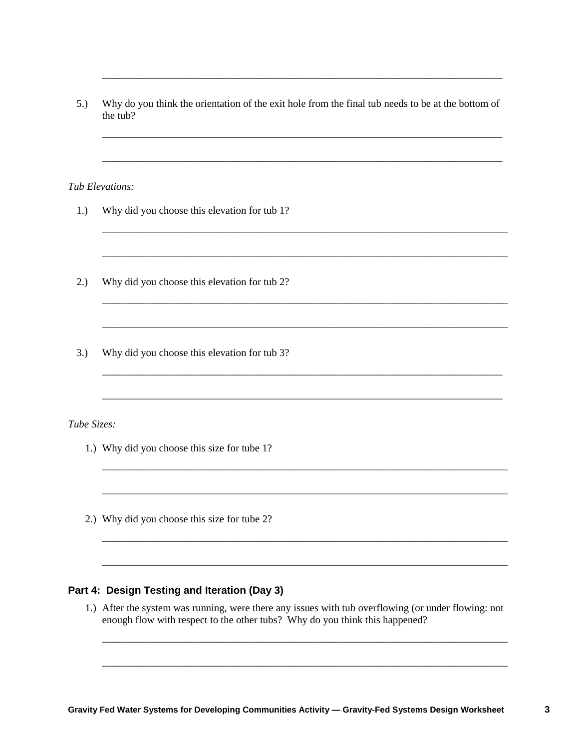5.) Why do you think the orientation of the exit hole from the final tub needs to be at the bottom of the tub?

\_\_\_\_\_\_\_\_\_\_\_\_\_\_\_\_\_\_\_\_\_\_\_\_\_\_\_\_\_\_\_\_\_\_\_\_\_\_\_\_\_\_\_\_\_\_\_\_\_\_\_\_\_\_\_\_\_\_\_\_\_\_\_\_\_\_\_\_\_\_\_\_\_\_\_\_\_

\_\_\_\_\_\_\_\_\_\_\_\_\_\_\_\_\_\_\_\_\_\_\_\_\_\_\_\_\_\_\_\_\_\_\_\_\_\_\_\_\_\_\_\_\_\_\_\_\_\_\_\_\_\_\_\_\_\_\_\_\_\_\_\_\_\_\_\_\_\_\_\_\_\_\_\_\_

\_\_\_\_\_\_\_\_\_\_\_\_\_\_\_\_\_\_\_\_\_\_\_\_\_\_\_\_\_\_\_\_\_\_\_\_\_\_\_\_\_\_\_\_\_\_\_\_\_\_\_\_\_\_\_\_\_\_\_\_\_\_\_\_\_\_\_\_\_\_\_\_\_\_\_\_\_

\_\_\_\_\_\_\_\_\_\_\_\_\_\_\_\_\_\_\_\_\_\_\_\_\_\_\_\_\_\_\_\_\_\_\_\_\_\_\_\_\_\_\_\_\_\_\_\_\_\_\_\_\_\_\_\_\_\_\_\_\_\_\_\_\_\_\_\_\_\_\_\_\_\_\_\_\_\_

\_\_\_\_\_\_\_\_\_\_\_\_\_\_\_\_\_\_\_\_\_\_\_\_\_\_\_\_\_\_\_\_\_\_\_\_\_\_\_\_\_\_\_\_\_\_\_\_\_\_\_\_\_\_\_\_\_\_\_\_\_\_\_\_\_\_\_\_\_\_\_\_\_\_\_\_\_\_

\_\_\_\_\_\_\_\_\_\_\_\_\_\_\_\_\_\_\_\_\_\_\_\_\_\_\_\_\_\_\_\_\_\_\_\_\_\_\_\_\_\_\_\_\_\_\_\_\_\_\_\_\_\_\_\_\_\_\_\_\_\_\_\_\_\_\_\_\_\_\_\_\_\_\_\_\_\_

\_\_\_\_\_\_\_\_\_\_\_\_\_\_\_\_\_\_\_\_\_\_\_\_\_\_\_\_\_\_\_\_\_\_\_\_\_\_\_\_\_\_\_\_\_\_\_\_\_\_\_\_\_\_\_\_\_\_\_\_\_\_\_\_\_\_\_\_\_\_\_\_\_\_\_\_\_\_

\_\_\_\_\_\_\_\_\_\_\_\_\_\_\_\_\_\_\_\_\_\_\_\_\_\_\_\_\_\_\_\_\_\_\_\_\_\_\_\_\_\_\_\_\_\_\_\_\_\_\_\_\_\_\_\_\_\_\_\_\_\_\_\_\_\_\_\_\_\_\_\_\_\_\_\_\_

\_\_\_\_\_\_\_\_\_\_\_\_\_\_\_\_\_\_\_\_\_\_\_\_\_\_\_\_\_\_\_\_\_\_\_\_\_\_\_\_\_\_\_\_\_\_\_\_\_\_\_\_\_\_\_\_\_\_\_\_\_\_\_\_\_\_\_\_\_\_\_\_\_\_\_\_\_

\_\_\_\_\_\_\_\_\_\_\_\_\_\_\_\_\_\_\_\_\_\_\_\_\_\_\_\_\_\_\_\_\_\_\_\_\_\_\_\_\_\_\_\_\_\_\_\_\_\_\_\_\_\_\_\_\_\_\_\_\_\_\_\_\_\_\_\_\_\_\_\_\_\_\_\_\_\_

\_\_\_\_\_\_\_\_\_\_\_\_\_\_\_\_\_\_\_\_\_\_\_\_\_\_\_\_\_\_\_\_\_\_\_\_\_\_\_\_\_\_\_\_\_\_\_\_\_\_\_\_\_\_\_\_\_\_\_\_\_\_\_\_\_\_\_\_\_\_\_\_\_\_\_\_\_\_

\_\_\_\_\_\_\_\_\_\_\_\_\_\_\_\_\_\_\_\_\_\_\_\_\_\_\_\_\_\_\_\_\_\_\_\_\_\_\_\_\_\_\_\_\_\_\_\_\_\_\_\_\_\_\_\_\_\_\_\_\_\_\_\_\_\_\_\_\_\_\_\_\_\_\_\_\_\_

\_\_\_\_\_\_\_\_\_\_\_\_\_\_\_\_\_\_\_\_\_\_\_\_\_\_\_\_\_\_\_\_\_\_\_\_\_\_\_\_\_\_\_\_\_\_\_\_\_\_\_\_\_\_\_\_\_\_\_\_\_\_\_\_\_\_\_\_\_\_\_\_\_\_\_\_\_\_

*Tub Elevations:*

- 1.) Why did you choose this elevation for tub 1?
- 2.) Why did you choose this elevation for tub 2?
- 3.) Why did you choose this elevation for tub 3?

*Tube Sizes:*

- 1.) Why did you choose this size for tube 1?
- 2.) Why did you choose this size for tube 2?

## **Part 4: Design Testing and Iteration (Day 3)**

1.) After the system was running, were there any issues with tub overflowing (or under flowing: not enough flow with respect to the other tubs? Why do you think this happened?

\_\_\_\_\_\_\_\_\_\_\_\_\_\_\_\_\_\_\_\_\_\_\_\_\_\_\_\_\_\_\_\_\_\_\_\_\_\_\_\_\_\_\_\_\_\_\_\_\_\_\_\_\_\_\_\_\_\_\_\_\_\_\_\_\_\_\_\_\_\_\_\_\_\_\_\_\_\_

\_\_\_\_\_\_\_\_\_\_\_\_\_\_\_\_\_\_\_\_\_\_\_\_\_\_\_\_\_\_\_\_\_\_\_\_\_\_\_\_\_\_\_\_\_\_\_\_\_\_\_\_\_\_\_\_\_\_\_\_\_\_\_\_\_\_\_\_\_\_\_\_\_\_\_\_\_\_